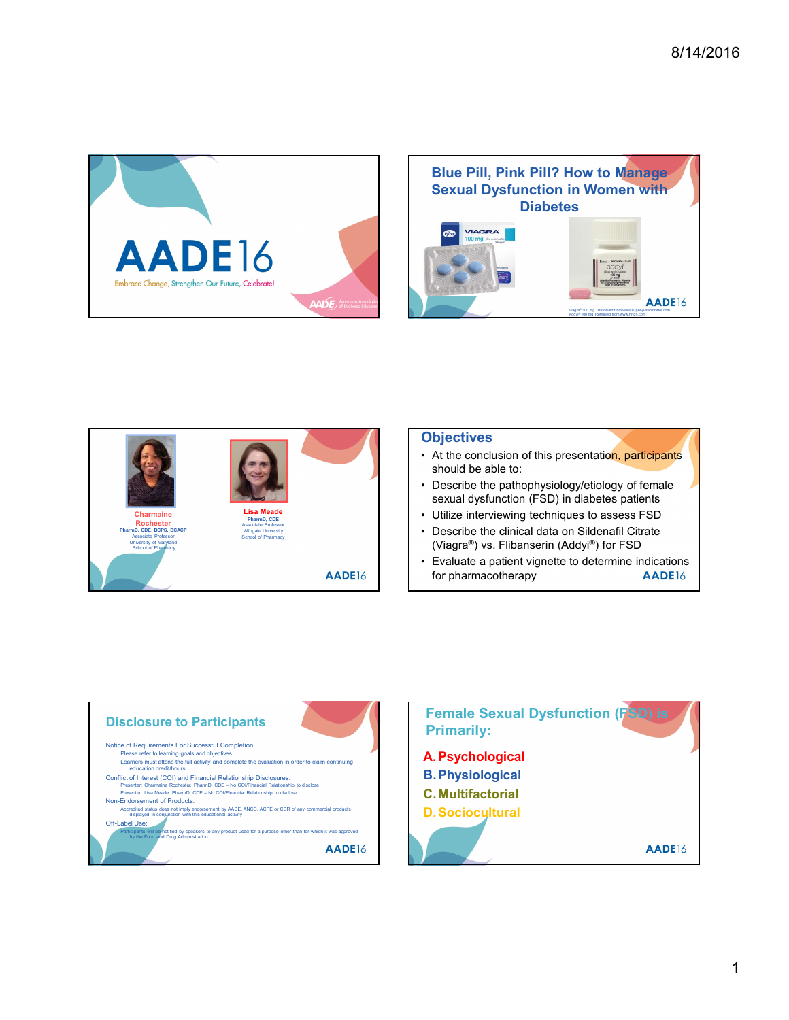





# **Objectives**

- should be able to:
- sexual dysfunction (FSD) in diabetes patients
- 
- (Viagra®) vs. Flibanserin (Addyi®) for FSD
- for pharmacotherapy **AADE**16



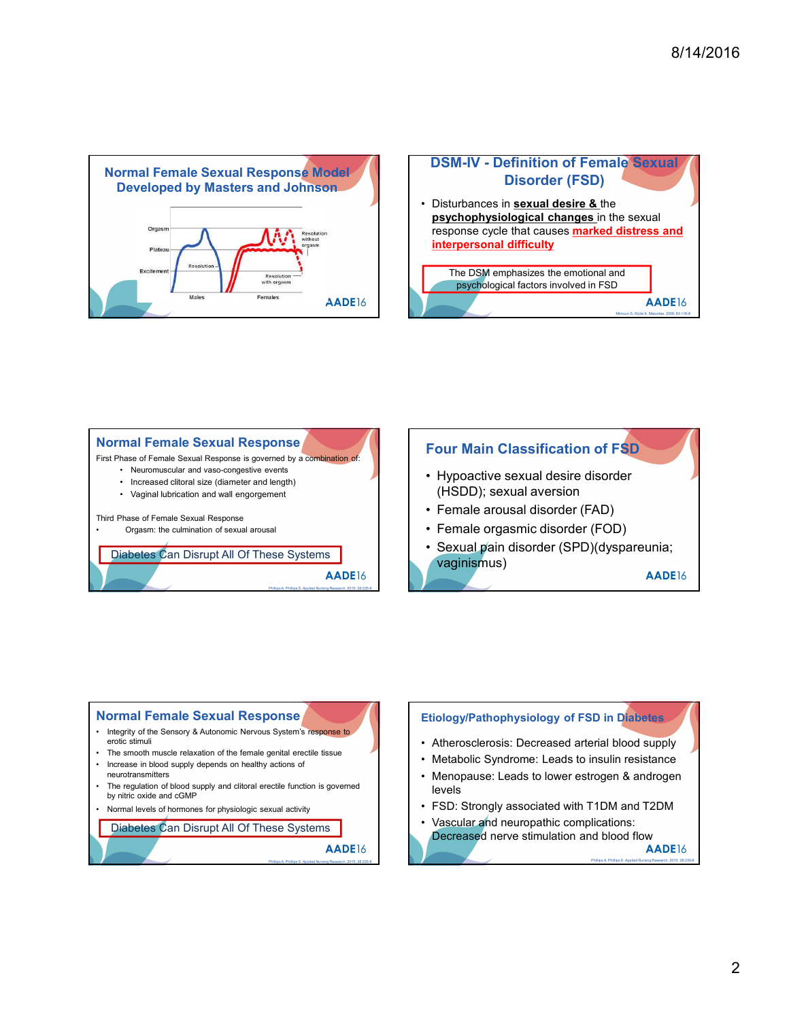





### Normal Female Sexual Response

- erotic stimuli
- 
- neurotransmitters
- The regulation of blood supply and clitoral erectile function is governed<br>by nitric oxide and cGMP<br>Normal levels of hormones for physiologic sexual activity<br>Normal levels of hormones for physiologic sexual activity
- 

```
Diabetes Can Disrupt All Of These Systems Diabetes Can Disrupt All Of These Systems
```


- 
- levels
- 
- 

Decreased nerve stimulation and blood flow<br>AADE16

2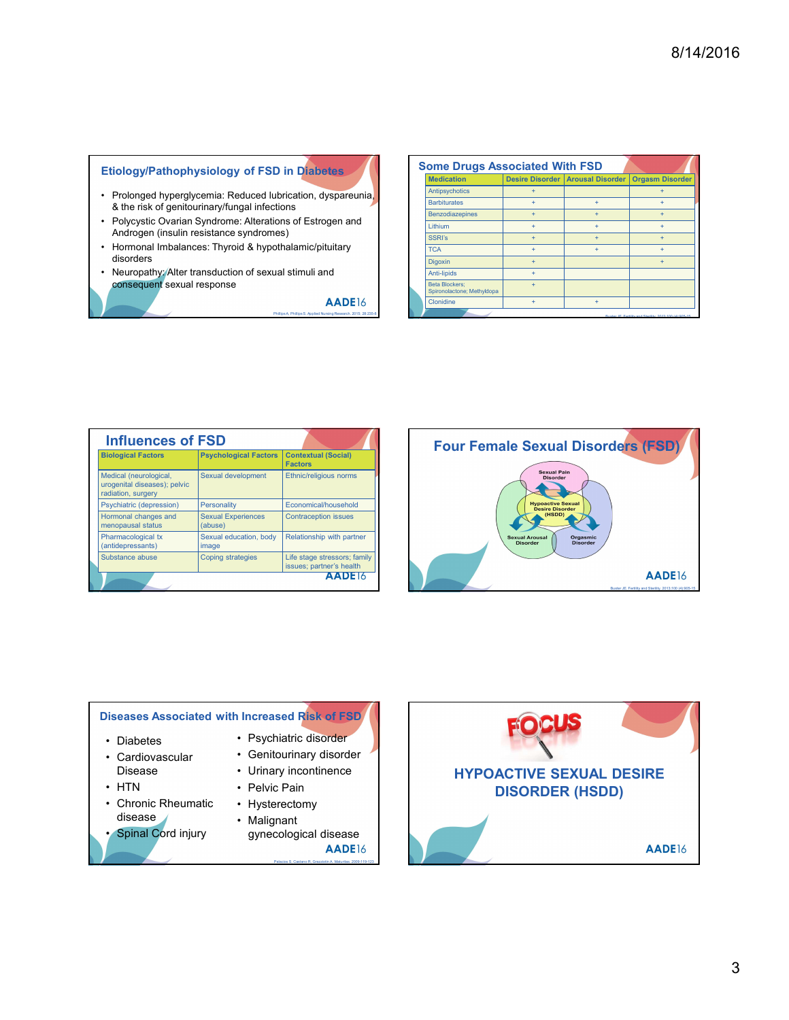# Etiology/Pathophysiology of FSD in Diabetes

- & the risk of genitourinary/fungal infections
- Androgen (insulin resistance syndromes)
- disorders
- Neuropathy: Alter transduction of sexual stimuli and<br>consequent sexual response

| 8/14/2016<br><b>Some Drugs Associated With FSD</b><br>Etiology/Pathophysiology of FSD in Diabetes<br><b>Medication</b><br>Desire Disorder   Arousal Disorder   Orgasm Disorder<br>Antipsychotics<br>$\ddot{+}$<br>$+$<br>Prolonged hyperglycemia: Reduced lubrication, dyspareunia,<br><b>Barbiturates</b><br>$\pm$<br>$+$<br>$+$<br>& the risk of genitourinary/fungal infections<br>Benzodiazepines<br>$+$<br>$+$<br>$+$<br>Polycystic Ovarian Syndrome: Alterations of Estrogen and<br>Lithium<br>$+$<br>$\ddot{}$<br>$+$<br>Androgen (insulin resistance syndromes)<br><b>SSRI's</b><br>$+$<br>$\begin{array}{c} + \end{array}$<br>$+$<br>Hormonal Imbalances: Thyroid & hypothalamic/pituitary<br><b>TCA</b><br>$+$<br>$\pm$<br>$+$<br>disorders<br>Digoxin<br>$+$<br>$+$<br>Neuropathy: Alter transduction of sexual stimuli and<br>Anti-lipids<br>$+$<br>consequent sexual response<br><b>Beta Blockers;</b><br>$+$<br>Spironolactone; Methyldopa<br>AADE16<br>Clonidine<br>$+$ $\,$<br>$+$ | Phillips A, Phillips S. Applied Nursing Research. 2015; 28:235 |  |  |                           |  |  |  |  |
|----------------------------------------------------------------------------------------------------------------------------------------------------------------------------------------------------------------------------------------------------------------------------------------------------------------------------------------------------------------------------------------------------------------------------------------------------------------------------------------------------------------------------------------------------------------------------------------------------------------------------------------------------------------------------------------------------------------------------------------------------------------------------------------------------------------------------------------------------------------------------------------------------------------------------------------------------------------------------------------------------|----------------------------------------------------------------|--|--|---------------------------|--|--|--|--|
|                                                                                                                                                                                                                                                                                                                                                                                                                                                                                                                                                                                                                                                                                                                                                                                                                                                                                                                                                                                                    |                                                                |  |  |                           |  |  |  |  |
|                                                                                                                                                                                                                                                                                                                                                                                                                                                                                                                                                                                                                                                                                                                                                                                                                                                                                                                                                                                                    |                                                                |  |  |                           |  |  |  |  |
|                                                                                                                                                                                                                                                                                                                                                                                                                                                                                                                                                                                                                                                                                                                                                                                                                                                                                                                                                                                                    |                                                                |  |  |                           |  |  |  |  |
|                                                                                                                                                                                                                                                                                                                                                                                                                                                                                                                                                                                                                                                                                                                                                                                                                                                                                                                                                                                                    |                                                                |  |  |                           |  |  |  |  |
|                                                                                                                                                                                                                                                                                                                                                                                                                                                                                                                                                                                                                                                                                                                                                                                                                                                                                                                                                                                                    |                                                                |  |  |                           |  |  |  |  |
|                                                                                                                                                                                                                                                                                                                                                                                                                                                                                                                                                                                                                                                                                                                                                                                                                                                                                                                                                                                                    |                                                                |  |  |                           |  |  |  |  |
|                                                                                                                                                                                                                                                                                                                                                                                                                                                                                                                                                                                                                                                                                                                                                                                                                                                                                                                                                                                                    |                                                                |  |  |                           |  |  |  |  |
|                                                                                                                                                                                                                                                                                                                                                                                                                                                                                                                                                                                                                                                                                                                                                                                                                                                                                                                                                                                                    |                                                                |  |  |                           |  |  |  |  |
|                                                                                                                                                                                                                                                                                                                                                                                                                                                                                                                                                                                                                                                                                                                                                                                                                                                                                                                                                                                                    |                                                                |  |  |                           |  |  |  |  |
|                                                                                                                                                                                                                                                                                                                                                                                                                                                                                                                                                                                                                                                                                                                                                                                                                                                                                                                                                                                                    |                                                                |  |  |                           |  |  |  |  |
|                                                                                                                                                                                                                                                                                                                                                                                                                                                                                                                                                                                                                                                                                                                                                                                                                                                                                                                                                                                                    |                                                                |  |  |                           |  |  |  |  |
|                                                                                                                                                                                                                                                                                                                                                                                                                                                                                                                                                                                                                                                                                                                                                                                                                                                                                                                                                                                                    |                                                                |  |  |                           |  |  |  |  |
|                                                                                                                                                                                                                                                                                                                                                                                                                                                                                                                                                                                                                                                                                                                                                                                                                                                                                                                                                                                                    |                                                                |  |  |                           |  |  |  |  |
|                                                                                                                                                                                                                                                                                                                                                                                                                                                                                                                                                                                                                                                                                                                                                                                                                                                                                                                                                                                                    |                                                                |  |  |                           |  |  |  |  |
|                                                                                                                                                                                                                                                                                                                                                                                                                                                                                                                                                                                                                                                                                                                                                                                                                                                                                                                                                                                                    |                                                                |  |  |                           |  |  |  |  |
|                                                                                                                                                                                                                                                                                                                                                                                                                                                                                                                                                                                                                                                                                                                                                                                                                                                                                                                                                                                                    |                                                                |  |  |                           |  |  |  |  |
|                                                                                                                                                                                                                                                                                                                                                                                                                                                                                                                                                                                                                                                                                                                                                                                                                                                                                                                                                                                                    |                                                                |  |  |                           |  |  |  |  |
|                                                                                                                                                                                                                                                                                                                                                                                                                                                                                                                                                                                                                                                                                                                                                                                                                                                                                                                                                                                                    |                                                                |  |  |                           |  |  |  |  |
|                                                                                                                                                                                                                                                                                                                                                                                                                                                                                                                                                                                                                                                                                                                                                                                                                                                                                                                                                                                                    |                                                                |  |  |                           |  |  |  |  |
|                                                                                                                                                                                                                                                                                                                                                                                                                                                                                                                                                                                                                                                                                                                                                                                                                                                                                                                                                                                                    |                                                                |  |  |                           |  |  |  |  |
|                                                                                                                                                                                                                                                                                                                                                                                                                                                                                                                                                                                                                                                                                                                                                                                                                                                                                                                                                                                                    |                                                                |  |  |                           |  |  |  |  |
|                                                                                                                                                                                                                                                                                                                                                                                                                                                                                                                                                                                                                                                                                                                                                                                                                                                                                                                                                                                                    |                                                                |  |  |                           |  |  |  |  |
|                                                                                                                                                                                                                                                                                                                                                                                                                                                                                                                                                                                                                                                                                                                                                                                                                                                                                                                                                                                                    |                                                                |  |  |                           |  |  |  |  |
|                                                                                                                                                                                                                                                                                                                                                                                                                                                                                                                                                                                                                                                                                                                                                                                                                                                                                                                                                                                                    |                                                                |  |  |                           |  |  |  |  |
|                                                                                                                                                                                                                                                                                                                                                                                                                                                                                                                                                                                                                                                                                                                                                                                                                                                                                                                                                                                                    |                                                                |  |  |                           |  |  |  |  |
|                                                                                                                                                                                                                                                                                                                                                                                                                                                                                                                                                                                                                                                                                                                                                                                                                                                                                                                                                                                                    |                                                                |  |  | <b>Biological Factors</b> |  |  |  |  |
| <b>Influences of FSD</b><br><b>Four Female Sexual Disorders (FSD)</b><br>Psychological Factors   Contextual (Social)<br>Factors                                                                                                                                                                                                                                                                                                                                                                                                                                                                                                                                                                                                                                                                                                                                                                                                                                                                    |                                                                |  |  |                           |  |  |  |  |
| <b>Sexual Pain</b><br>Medical (neurological,<br>Sexual development<br><b>Ethnic/religious norms</b><br><b>Disorder</b><br>urogenital diseases); pelvic                                                                                                                                                                                                                                                                                                                                                                                                                                                                                                                                                                                                                                                                                                                                                                                                                                             |                                                                |  |  |                           |  |  |  |  |
| ₹<br>radiation, surgery<br>Psychiatric (depression)<br>Personality<br>Economical/household                                                                                                                                                                                                                                                                                                                                                                                                                                                                                                                                                                                                                                                                                                                                                                                                                                                                                                         |                                                                |  |  |                           |  |  |  |  |
| <b>Hypoactive Sexual<br/>Desire Disorder</b><br>(HSDD)<br>Hormonal changes and<br><b>Sexual Experiences</b><br><b>Contraception issues</b><br>$\rightarrow$<br>menopausal status<br>(abuse)                                                                                                                                                                                                                                                                                                                                                                                                                                                                                                                                                                                                                                                                                                                                                                                                        |                                                                |  |  |                           |  |  |  |  |
| Pharmacological tx<br>Sexual education, body<br>Relationship with partner<br><b>Sexual Arousal</b><br>Orgasmic<br>Disorder<br><b>Disorder</b><br>(antidepressants)<br>image<br><b>Cubetance</b>                                                                                                                                                                                                                                                                                                                                                                                                                                                                                                                                                                                                                                                                                                                                                                                                    |                                                                |  |  |                           |  |  |  |  |

| <b>Influences of FSD</b>                                                     |                                      |                                                          | <b>Four Female Se</b>                 |
|------------------------------------------------------------------------------|--------------------------------------|----------------------------------------------------------|---------------------------------------|
| <b>Biological Factors</b>                                                    | <b>Psychological Factors</b>         | <b>Contextual (Social)</b><br><b>Factors</b>             |                                       |
| Medical (neurological,<br>urogenital diseases); pelvic<br>radiation, surgery | Sexual development                   | Ethnic/religious norms                                   |                                       |
| Psychiatric (depression)                                                     | <b>Personality</b>                   | Economical/household                                     |                                       |
| Hormonal changes and<br>menopausal status                                    | <b>Sexual Experiences</b><br>(abuse) | <b>Contraception issues</b>                              |                                       |
| Pharmacological tx<br>(antidepressants)                                      | Sexual education, body<br>image      | Relationship with partner                                | <b>Sexual Arou</b><br><b>Disorder</b> |
| Substance abuse                                                              | <b>Coping strategies</b>             | Life stage stressors; family<br>issues; partner's health |                                       |
|                                                                              |                                      | AADE <sub>16</sub>                                       |                                       |
|                                                                              |                                      |                                                          |                                       |
|                                                                              |                                      |                                                          |                                       |
| <b>Diseases Associated with Increased Risk of FSD</b>                        |                                      |                                                          |                                       |
| • Diabetes                                                                   |                                      | • Psychiatric disorder                                   |                                       |
| • Cardiovascular                                                             |                                      | • Genitourinary disorder                                 |                                       |
| Disease                                                                      |                                      | • Urinary incontinence                                   |                                       |
| • HTN                                                                        | • Pelvic Pain                        |                                                          | <b>HYPOACTIVI</b>                     |
| • Chronic Rheumatic                                                          |                                      |                                                          | <b>DISOR</b>                          |
| disease                                                                      | • Hysterectomy                       |                                                          |                                       |
| Spinal Cord injury                                                           | • Malignant                          | gynecological disease                                    |                                       |



## Diseases Associated with Increased Risk of FSD

- 
- 
- 
- disease · Malignant
- 
- 
- 
- Disease Urinary incontinence
	-
	-
	- gynecological disease

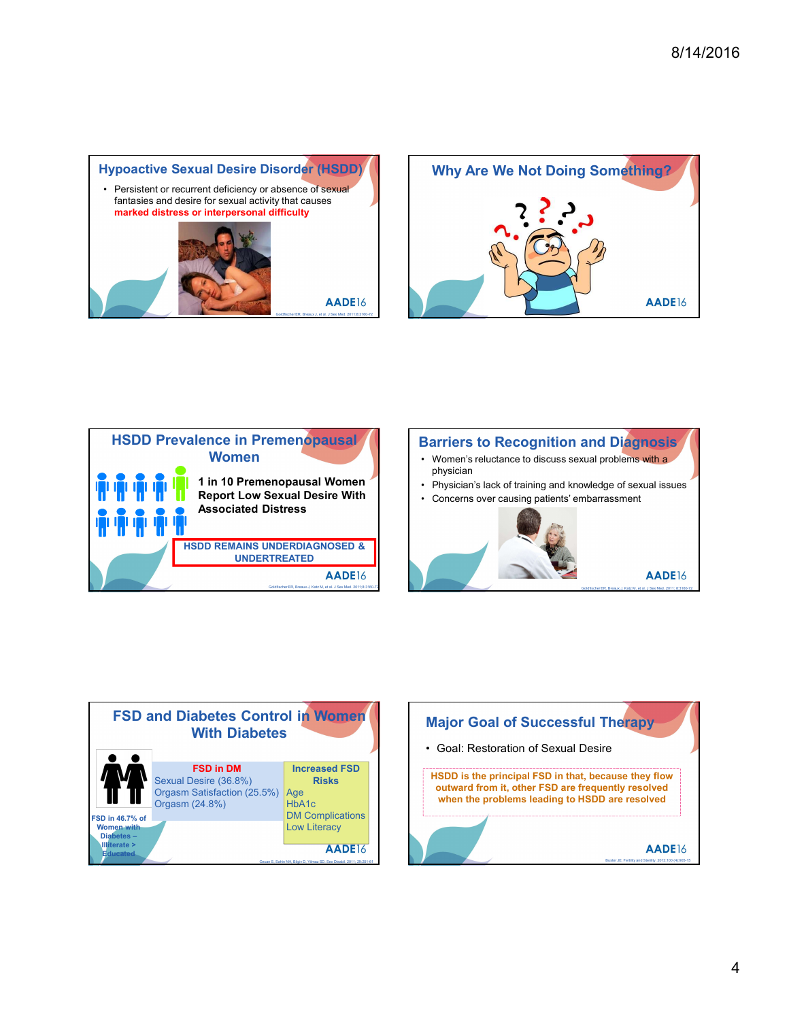





# Women Women's reluctance to discuss sexual problems with a Barriers to Recognition and Diagnosis

- physician
- 
- 





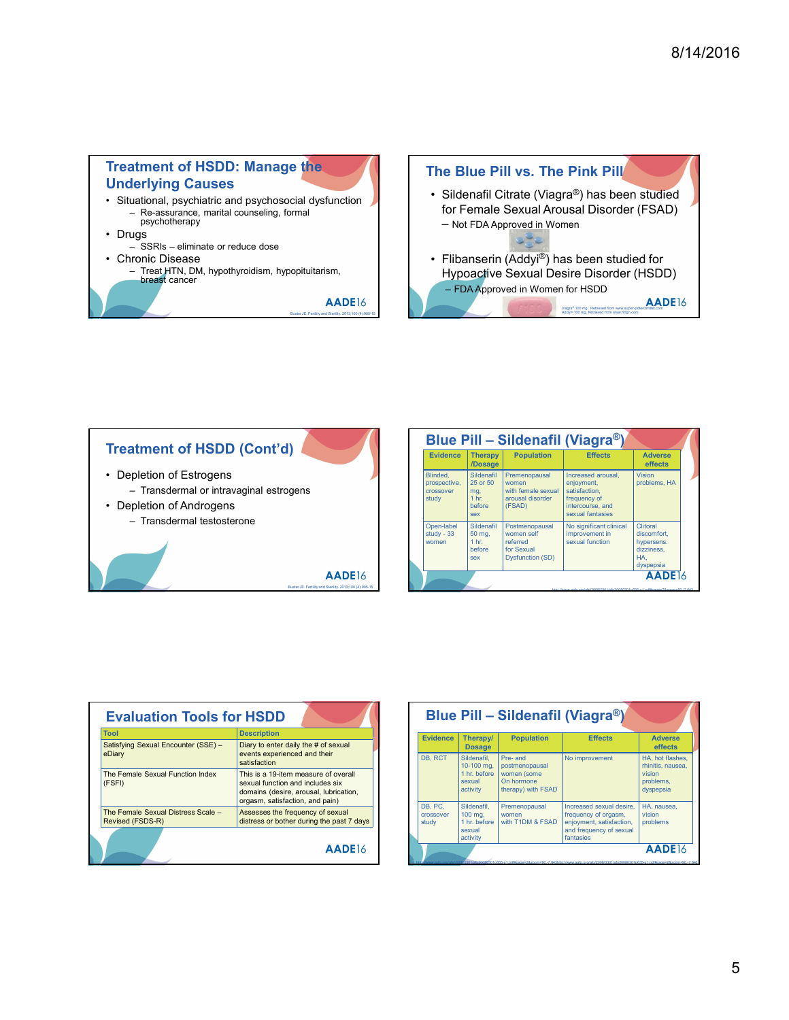



| luce dose<br>roidism, hypopituitarism,                          |                                       |                                      |                                              | - Not FDA Approved in Women                                                                                               |                                        |
|-----------------------------------------------------------------|---------------------------------------|--------------------------------------|----------------------------------------------|---------------------------------------------------------------------------------------------------------------------------|----------------------------------------|
|                                                                 |                                       |                                      |                                              |                                                                                                                           |                                        |
|                                                                 |                                       |                                      |                                              | • Flibanserin $(\overline{\text{Addyi}^{\circledcirc}})$ has been studied for<br>Hypoactive Sexual Desire Disorder (HSDD) |                                        |
| AADE16<br>Buster JE. Fertility and Sterility. 2013;100 (4):905- |                                       |                                      | - FDA Approved in Women for HSDD             | Viagra® 100 mg. Retrieved from www.super-pr<br>Addyi® 100 mg. Retrieved from www.hngn.com                                 | AADE16                                 |
|                                                                 |                                       |                                      |                                              |                                                                                                                           |                                        |
|                                                                 |                                       |                                      |                                              |                                                                                                                           |                                        |
|                                                                 |                                       |                                      |                                              |                                                                                                                           |                                        |
|                                                                 |                                       |                                      |                                              |                                                                                                                           |                                        |
|                                                                 |                                       |                                      |                                              |                                                                                                                           |                                        |
| (Cont'd)                                                        |                                       |                                      |                                              | Blue Pill - Sildenafil (Viagra®)                                                                                          |                                        |
|                                                                 | <b>Evidence</b>                       | <b>Therapy</b><br>/Dosage            | <b>Population</b>                            | <b>Effects</b>                                                                                                            | <b>Adverse</b><br>effects              |
| aginal estrogens                                                | Blinded,<br>prospective,<br>crossover | Sildenafil<br>25 or 50<br>mg,        | Premenopausal<br>women<br>with female sexual | Increased arousal.<br>enjoyment,<br>satisfaction,                                                                         | <b>Vision</b><br>problems, HA          |
|                                                                 | study                                 | 1 <sub>hr.</sub><br>before           | arousal disorder<br>(FSAD)                   | frequency of<br>intercourse, and                                                                                          |                                        |
| one                                                             | Open-label                            | sex<br>Sildenafil                    | Postmenopausal<br>women self                 | sexual fantasies<br>No significant clinical<br>improvement in                                                             | Clitoral<br>discomfort,                |
|                                                                 | study - 33<br>women                   | 50 mg,<br>1 <sub>hr.</sub><br>before | referred<br>for Sexual                       | sexual function                                                                                                           | hypersens.<br>dizziness,               |
| <b>AADE16</b>                                                   |                                       | sex                                  | <b>Dysfunction (SD)</b>                      |                                                                                                                           | HA.<br>dyspepsia<br>AADE <sub>16</sub> |
| Buster JE. Fertility and Sterlity. 2013;100 (4):905-15          |                                       |                                      |                                              |                                                                                                                           |                                        |

| <b>Evaluation Tools for HSDD</b>                       |                                                                                                                                                       |  |                               |                                          | <b>Blue Pill - Sildenafil (V</b>                |                          |
|--------------------------------------------------------|-------------------------------------------------------------------------------------------------------------------------------------------------------|--|-------------------------------|------------------------------------------|-------------------------------------------------|--------------------------|
| <b>Tool</b><br>Satisfying Sexual Encounter (SSE) -     | <b>Description</b><br>Diary to enter daily the # of sexual                                                                                            |  | <b>Evidence</b>               | <b>Therapy/</b><br><b>Dosage</b>         | <b>Population</b>                               |                          |
| eDiary                                                 | events experienced and their<br>satisfaction                                                                                                          |  | DB, RCT                       | Sildenafil.<br>10-100 mg.                | Pre- and<br>postmenopausal                      | No in                    |
| The Female Sexual Function Index<br>(FSFI)             | This is a 19-item measure of overall<br>sexual function and includes six<br>domains (desire, arousal, lubrication,<br>orgasm, satisfaction, and pain) |  |                               | 1 hr. before<br>sexual<br>activity       | women (some<br>On hormone<br>therapy) with FSAD |                          |
| The Female Sexual Distress Scale -<br>Revised (FSDS-R) | Assesses the frequency of sexual<br>distress or bother during the past 7 days                                                                         |  | DB, PC.<br>crossover<br>study | Sildenafil.<br>$100$ mg,<br>1 hr. before | Premenopausal<br>women<br>with T1DM & FSAD      | Increa<br>frequ<br>enjoy |
|                                                        | AADE <sub>16</sub>                                                                                                                                    |  |                               | sexual<br>activity                       |                                                 | and f<br>fanta           |

| <b>HSDD</b>                                                                                                                                           |                               |                                                                | Blue Pill - Sildenafil (Viagra®)                |                                                                                                                                 |                                       |
|-------------------------------------------------------------------------------------------------------------------------------------------------------|-------------------------------|----------------------------------------------------------------|-------------------------------------------------|---------------------------------------------------------------------------------------------------------------------------------|---------------------------------------|
| <b>Description</b>                                                                                                                                    | <b>Evidence</b>               | Therapy                                                        | <b>Population</b>                               | <b>Effects</b>                                                                                                                  | <b>Adverse</b>                        |
| Diary to enter daily the # of sexual                                                                                                                  |                               | <b>Dosage</b>                                                  |                                                 |                                                                                                                                 | effects                               |
| events experienced and their<br>satisfaction                                                                                                          | DB, RCT                       | Sildenafil.<br>10-100 mg.                                      | Pre- and<br>postmenopausal                      | No improvement                                                                                                                  | HA, hot flashes.<br>rhinitis, nausea, |
| This is a 19-item measure of overall<br>sexual function and includes six<br>domains (desire, arousal, lubrication,<br>orgasm, satisfaction, and pain) |                               | 1 hr. before<br>sexual<br>activity                             | women (some<br>On hormone<br>therapy) with FSAD |                                                                                                                                 | vision<br>problems,<br>dyspepsia      |
| Assesses the frequency of sexual<br>distress or bother during the past 7 days                                                                         | DB, PC.<br>crossover<br>study | Sildenafil.<br>$100$ mg,<br>1 hr. before<br>sexual<br>activity | Premenopausal<br>women<br>with T1DM & FSAD      | Increased sexual desire.<br>frequency of orgasm,<br>enjoyment, satisfaction,<br>and frequency of sexual<br>fantasies            | HA, nausea.<br>vision<br>problems     |
| AADE <sub>16</sub>                                                                                                                                    |                               |                                                                |                                                 | 0301/afp20080301p635-s1.pdf#page=2&zoom=90.-7.643http://www.aafp.crg/afp/2008/0301/afp20080301p635-s1.pdf#page=2&zoom=90.-7.643 | AADE <sub>16</sub>                    |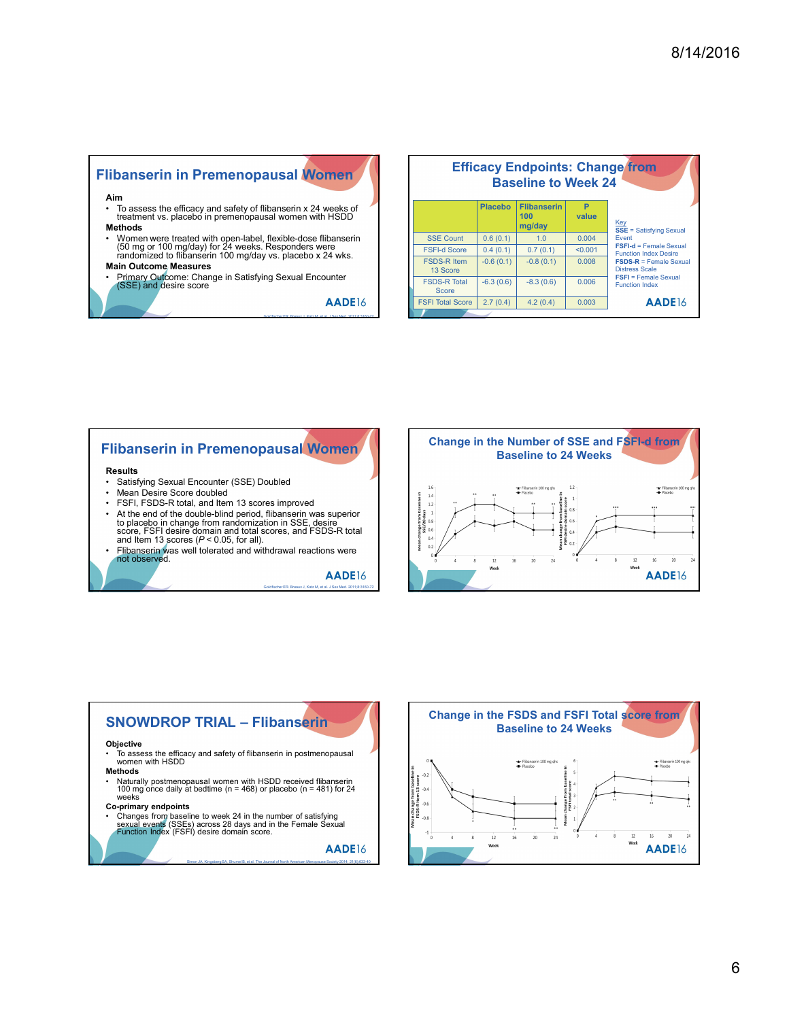# Flibanserin in Premenopausal Women

- 
- Methods
- (50 mg or 100 mg/day) for 24 weeks. Responders were randomized to flibanserin 100 mg/day vs. placebo x 24 wks.
- Main Outcome Measures
- (SSE) and desire score

|                                                                                                                       |                                         |             |                            |         | 8/14/2016                                              |
|-----------------------------------------------------------------------------------------------------------------------|-----------------------------------------|-------------|----------------------------|---------|--------------------------------------------------------|
|                                                                                                                       |                                         |             |                            |         |                                                        |
|                                                                                                                       |                                         |             |                            |         |                                                        |
|                                                                                                                       |                                         |             |                            |         |                                                        |
|                                                                                                                       |                                         |             |                            |         |                                                        |
|                                                                                                                       |                                         |             |                            |         |                                                        |
|                                                                                                                       |                                         |             |                            |         |                                                        |
|                                                                                                                       |                                         |             |                            |         |                                                        |
|                                                                                                                       |                                         |             |                            |         |                                                        |
|                                                                                                                       |                                         |             |                            |         | <b>Efficacy Endpoints: Change from</b>                 |
| libanserin in Premenopausal Women                                                                                     |                                         |             | <b>Baseline to Week 24</b> |         |                                                        |
| Aim                                                                                                                   |                                         |             | Placebo Flibanserin        | P.      |                                                        |
| To assess the efficacy and safety of flibanserin x 24 weeks of treatment vs. placebo in premenopausal women with HSDD |                                         |             | 100                        | value   |                                                        |
| Methods                                                                                                               |                                         |             | mg/day                     |         | $\frac{\text{Key}}{\text{SSE}}$ = Satisfying Sexual    |
| Women were treated with open-label, flexible-dose flibanserin                                                         | <b>SSE Count</b>                        | 0.6(0.1)    | 1.0                        | 0.004   | Event<br><b>FSFI-d</b> = Female Sexual                 |
| (50 mg or 100 mg/day) for 24 weeks. Responders were<br>randomized to flibanserin 100 mg/day vs. placebo x 24 wks.     | <b>FSFI-d Score</b>                     | 0.4(0.1)    | 0.7(0.1)                   | < 0.001 | <b>Function Index Desire</b>                           |
| <b>Main Outcome Measures</b>                                                                                          | <b>FSDS-R Item</b><br>13 Score          | $-0.6(0.1)$ | $-0.8(0.1)$                | 0.008   | <b>FSDS-R = Female Sexual</b><br><b>Distress Scale</b> |
| Primary Outcome: Change in Satisfying Sexual Encounter<br>(SSE) and desire score                                      | <b>FSDS-R Total</b>                     | $-6.3(0.6)$ | $-8.3(0.6)$                | 0.006   | <b>FSFI</b> = Female Sexual<br><b>Function Index</b>   |
| AADE16                                                                                                                | <b>Score</b><br><b>FSFI Total Score</b> | 2.7(0.4)    | 4.2(0.4)                   | 0.003   | AADE16                                                 |

# Flibanserin in Premenopausal Women

- 
- Results<br>• Satisfying Sexual Encounter (SSE) Doubled
- 
- 
- to placebo in change from randomization in SSE, desire<br>score, FSFI desire domain and total scores, and FSDS-R total and the state of the state of the state of the st<br>and Item 13 scores (P < 0.05, for all).
- Flibanserin was well tolerated and withdrawal reactions were



# Objective Filibanserin in Premenopausal Women<br>
• Safety Shace is considered to a strategies the safety of the safety of the safety of flibanse of the considered and to the safety of flibansering and to a strategies of  $\frac{1}{2}$ <br>
• T To assess the efficacy and safety of flibanserin in postmenopausal women with HSDD Methods Filiban serin in Premenopausal Women<br>
• Salisfying Sexual Encounter (SSE) Doubled<br>
• Mathematics core doubled<br>
• FSFI, FSDS-R total, and then 13 scores improved<br>
• Chinaces on the double-blind period. flibansering was supe 100 mg once daily at bedtime (n = 468) or placebo (n = 481) for 24 weeks<br>Co-primary endpoints Co-primary endpoints • Satisfying Second Interaction Co-primary endpoints<br>
• Ferri, FSDS-R total, and filem 13 scores from and miniatorial ton in Second<br>
Changes from an and the number of satisfying them in and the number of satisfying the nu

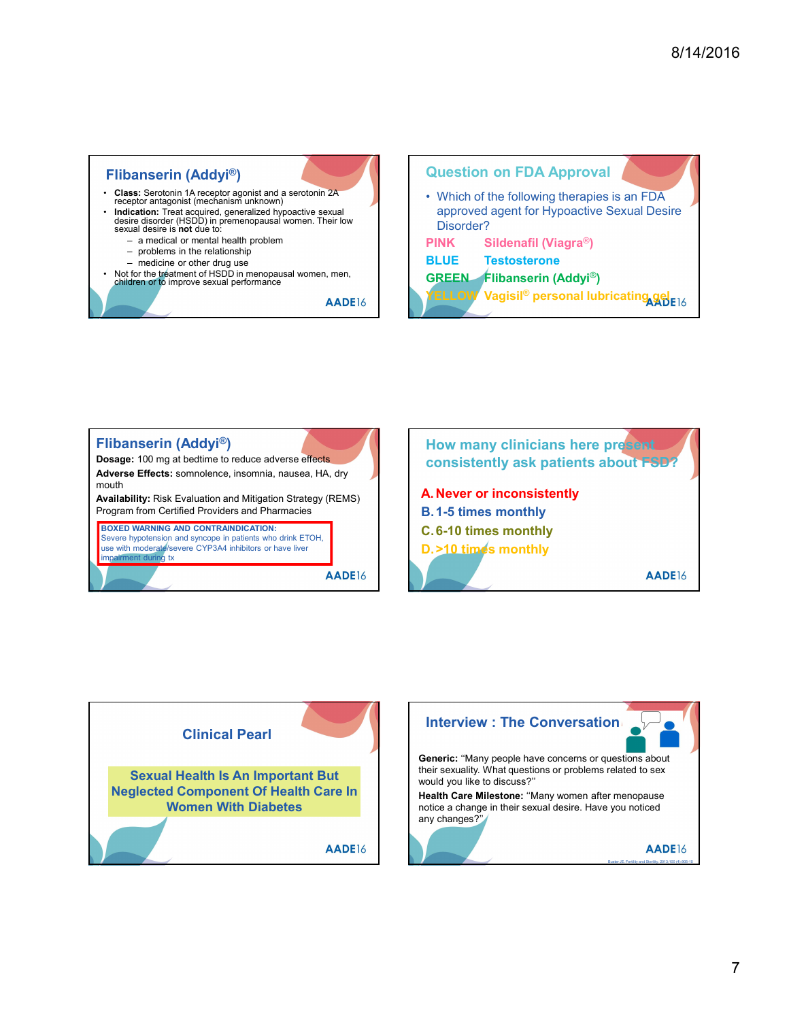





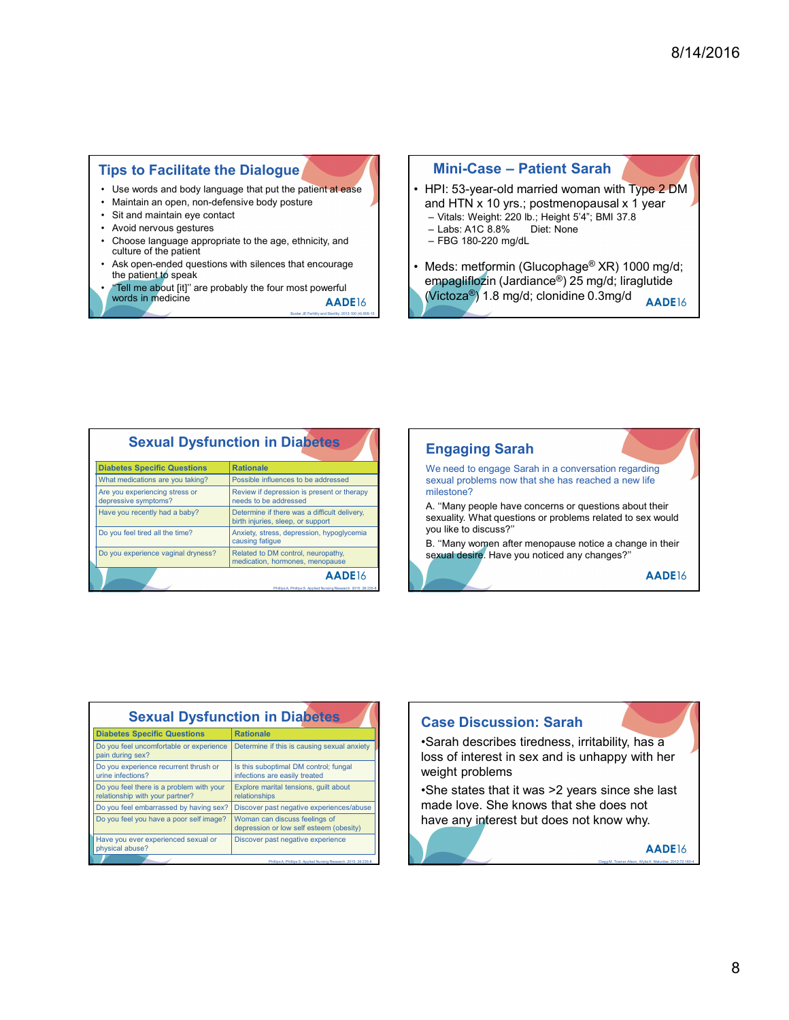46 and 466 and 466 and 466 and 466 and 466 and 466 and 466 and 466 and 466

# Tips to Facilitate the Dialogue

- 
- 
- 
- 
- Tips to Facilitate the Dialogue<br>
 Use words and body language that put the patient at ease<br>
 Mini-Case Patient Sar<br>
 Sit and miniatin en open, non-defensive body posture<br>
 Note in patient at ease<br>
 Choose language a culture of the patient
- **Fips to Facilitate the Dialogue<br>
 Use words and body language that put the patient at ease<br>
 Mini-Case Pat<br>
 Mini-Case Pat<br>
 Mini-Case Pat<br>
 Mini-Case Pat<br>
 Mini-Case Pat<br>
 Mini-Case Pat<br>
 Mini-Case** Fips to Facilitate the Dialogue<br>
• Use words and body language that put the patient at ease<br>
• Minii-Case – Pa<br>
• Minii-Case – Pa<br>
• Minii-Case – Pa<br>
• Minii-Case – Pa<br>
• Minii-Case – Pa<br>
• HPI: 53-year-old maintain eye c the patient to speak<br>"Tell me about [it]" are probably the four most powerful
- **Fips to Facilitate the Dialogue<br>
 Use words and body language that put the patient at ease<br>
 Avoid nervous gestures<br>
 Sil and minalin eye contact<br>
 Avoid nervous gestures<br>
 Choose language appropriate to the age, et Fips to Facilitate the Dialogue and the patient at ease**<br>  $\cdot$  Choose language appropriate to the patient at ease<br>  $\cdot$  Changuage appropriate to the age, ethnicity, and<br>  $\cdot$  Chials: Weight: 220 lb<br>  $\cdot$  Changuage approp **Fips to Facilitate the Dialogue and the method is a server sum to the server sum of the method in the silence of the patient of peak of the patient of peak (Tell me about [ti] are probably the four most peak and the pati Fips to Facilitate the Dialogue Mini-Case – Pa**<br>
• Use words and body language that put the patient at ease<br>
• Sit and maintain eye contact<br>
• Sit and maintain eye contact<br>
• Sit and maintain eye contact<br>
• Sit and HTN x words in medicine Buster JE Fertility and Sterility and Sterility and Sterility and Sterility and Sterility and Sterility and Sterility and Sterility and Sterility and Sterility and Sterility and Sterility and Sterility an

- 8/14/2016<br>
Mini-Case Patient Sarah<br>
PI: 53-year-old married woman with Type 2 DM<br>
Md HTN x 10 yrs.; postmenopausal x 1 year<br>
Vitals: Weight: 220 lb.; Height 54"; BMI 37.8<br>
Labs: A1C 8.8% Diet: None<br>
FBG 180-220 mg/dL **Mini-Case – Patient Sarah**<br>• HPI: 53-year-old married woman with Type 2 DM<br>and HTN x 10 yrs.; postmenopausal x 1 year<br>– Vitals: Weight: 220 lb.; Height 54"; BMI 37.8<br>– Labs: A1C 8.8% Diet: None<br>– FBG 180-220 mg/dL<br>• Meds and HTN x 10 yrs.; postmenopausal x 1 year - Vitals: Weight: 220 lb.; Height 5'4"; BMI 37.8
	-
	-
	-
- **Mini-Case Patient Sarah (2016)**<br> **Mini-Case Patient Sarah (2016)**<br>
HPI: 53-year-old married woman with Type 2 DM<br>
and HTN x 10 yrs.; postmenopausal x 1 year<br>
 Labs: Arc 8.8% Diet: None<br>
 FBG 180-220 mg/dL<br>
Meds: me 8/14/2016<br>
Mini-Case – Patient Sarah<br>
HPI: 53-year-old married woman with Type 2 DM<br>
and HTN x 10 yrs.; postmenopausal x 1 year<br>
– Vitals: Weight: 220 lb.; Height 5'4"; BMI 37.8<br>
– Labs: A1C 8.8% Diet: None<br>
– FBG 180-220 8/14/2016<br>
Mini-Case – Patient Sarah<br>
HPI: 53-year-old married woman with Type 2 DM<br>
and HTN x 10 yrs.; postmenopausal x 1 year<br>
– Labs: Weight: 220 lb.; Height 54; BMI 37.8<br>
– Labs: ATC 8.8% Diet: None<br>
– FBG 180-220 mg/ 8/14/2016<br> **Mini-Case – Patient Sarah**<br>
• HPI: 53-year-old married woman with Type 2 DM<br>
and HTN x 10 yrs.; postmenopausal x 1 year<br>
– Vitals: Wegit: 220 b.; Height 54'; BM 37.8<br>
– Labs: ArC 8.8% Diet: None<br>
– FBG 180-220 empagliflozin (Jardiance®) 25 mg/d; liraglutide

|                                                                                                                                                                                                                                                | <b>Sexual Dysfunction in Diabetes</b>                                             | <b>Engaging Sarah</b>                                                                    |
|------------------------------------------------------------------------------------------------------------------------------------------------------------------------------------------------------------------------------------------------|-----------------------------------------------------------------------------------|------------------------------------------------------------------------------------------|
| <b>Diabetes Specific Questions</b>                                                                                                                                                                                                             | <b>Rationale</b>                                                                  | We need to engage Sarah in a conversation                                                |
| What medications are you taking?                                                                                                                                                                                                               | Possible influences to be addressed                                               | sexual problems now that she has reached<br>milestone?                                   |
| Are you experiencing stress or<br>depressive symptoms?                                                                                                                                                                                         | Review if depression is present or therapy<br>needs to be addressed               |                                                                                          |
| Have you recently had a baby?                                                                                                                                                                                                                  | Determine if there was a difficult delivery,<br>birth injuries, sleep, or support | A. "Many people have concerns or questior<br>sexuality. What questions or problems relat |
| Do you feel tired all the time?                                                                                                                                                                                                                | Anxiety, stress, depression, hypoglycemia<br>causing fatigue                      | you like to discuss?"<br>B. "Many women after menopause notice a                         |
| Do you experience vaginal dryness?                                                                                                                                                                                                             | Related to DM control, neuropathy,<br>medication, hormones, menopause             | sexual desire. Have you noticed any change                                               |
|                                                                                                                                                                                                                                                | AADE <sub>16</sub>                                                                |                                                                                          |
|                                                                                                                                                                                                                                                |                                                                                   |                                                                                          |
|                                                                                                                                                                                                                                                |                                                                                   |                                                                                          |
|                                                                                                                                                                                                                                                | <b>Sexual Dysfunction in Diabetes</b><br><b>Rationale</b>                         | <b>Case Discussion: Sarah</b>                                                            |
|                                                                                                                                                                                                                                                | Determine if this is causing sexual anxiety                                       | •Sarah describes tiredness, irritabi                                                     |
|                                                                                                                                                                                                                                                | Is this suboptimal DM control; fungal<br>infections are easily treated            | loss of interest in sex and is unhap<br>weight problems                                  |
| <b>Diabetes Specific Questions</b><br>Do you feel uncomfortable or experience<br>pain during sex?<br>Do you experience recurrent thrush or<br>urine infections?<br>Do you feel there is a problem with your<br>relationship with your partner? | Explore marital tensions, guilt about<br>relationships                            | •She states that it was >2 years sire                                                    |
|                                                                                                                                                                                                                                                | Discover past negative experiences/abuse                                          | made love. She knows that she do                                                         |
| Do you feel embarrassed by having sex?<br>Do you feel you have a poor self image?                                                                                                                                                              | Woman can discuss feelings of<br>depression or low self esteem (obesity)          | have any interest but does not kno                                                       |



|                                                                                                                                                                                                                                                                                                                                                                                               |                                                                                     | Engaging Saran                                                 |
|-----------------------------------------------------------------------------------------------------------------------------------------------------------------------------------------------------------------------------------------------------------------------------------------------------------------------------------------------------------------------------------------------|-------------------------------------------------------------------------------------|----------------------------------------------------------------|
| <b>Diabetes Specific Questions</b>                                                                                                                                                                                                                                                                                                                                                            | <b>Rationale</b>                                                                    | We need to engage Sarah in a conversat                         |
| What medications are you taking?                                                                                                                                                                                                                                                                                                                                                              | Possible influences to be addressed                                                 | sexual problems now that she has reache                        |
| Are you experiencing stress or                                                                                                                                                                                                                                                                                                                                                                | Review if depression is present or therapy                                          | milestone?                                                     |
| depressive symptoms?                                                                                                                                                                                                                                                                                                                                                                          | needs to be addressed                                                               | A. "Many people have concerns or questi                        |
| Have you recently had a baby?                                                                                                                                                                                                                                                                                                                                                                 | Determine if there was a difficult delivery,<br>birth injuries, sleep, or support   | sexuality. What questions or problems reli                     |
| Do you feel tired all the time?                                                                                                                                                                                                                                                                                                                                                               | Anxiety, stress, depression, hypoglycemia<br>causing fatigue                        | you like to discuss?"<br>B. "Many women after menopause notice |
| Do you experience vaginal dryness?                                                                                                                                                                                                                                                                                                                                                            | Related to DM control, neuropathy,<br>medication, hormones, menopause               | sexual desire. Have you noticed any char                       |
|                                                                                                                                                                                                                                                                                                                                                                                               | AADE <sub>16</sub><br>Phillips A. Phillips S. Applied Nursing Research, 2015; 28:23 |                                                                |
|                                                                                                                                                                                                                                                                                                                                                                                               |                                                                                     |                                                                |
|                                                                                                                                                                                                                                                                                                                                                                                               |                                                                                     |                                                                |
|                                                                                                                                                                                                                                                                                                                                                                                               | <b>Sexual Dysfunction in Diabetes</b>                                               |                                                                |
|                                                                                                                                                                                                                                                                                                                                                                                               | <b>Rationale</b>                                                                    | <b>Case Discussion: Sarah</b>                                  |
|                                                                                                                                                                                                                                                                                                                                                                                               | Determine if this is causing sexual anxiety                                         | •Sarah describes tiredness, irrital                            |
|                                                                                                                                                                                                                                                                                                                                                                                               | Is this suboptimal DM control; fungal<br>infections are easily treated              | loss of interest in sex and is unha<br>weight problems         |
|                                                                                                                                                                                                                                                                                                                                                                                               | Explore marital tensions, guilt about<br>relationships                              | •She states that it was >2 years s                             |
|                                                                                                                                                                                                                                                                                                                                                                                               | Discover past negative experiences/abuse                                            | made love. She knows that she o                                |
|                                                                                                                                                                                                                                                                                                                                                                                               | Woman can discuss feelings of<br>depression or low self esteem (obesity)            | have any interest but does not kn                              |
| <b>Diabetes Specific Questions</b><br>Do you feel uncomfortable or experience<br>pain during sex?<br>Do you experience recurrent thrush or<br>urine infections?<br>Do you feel there is a problem with your<br>relationship with your partner?<br>Do you feel embarrassed by having sex?<br>Do you feel you have a poor self image?<br>Have you ever experienced sexual or<br>physical abuse? | Discover past negative experience                                                   |                                                                |

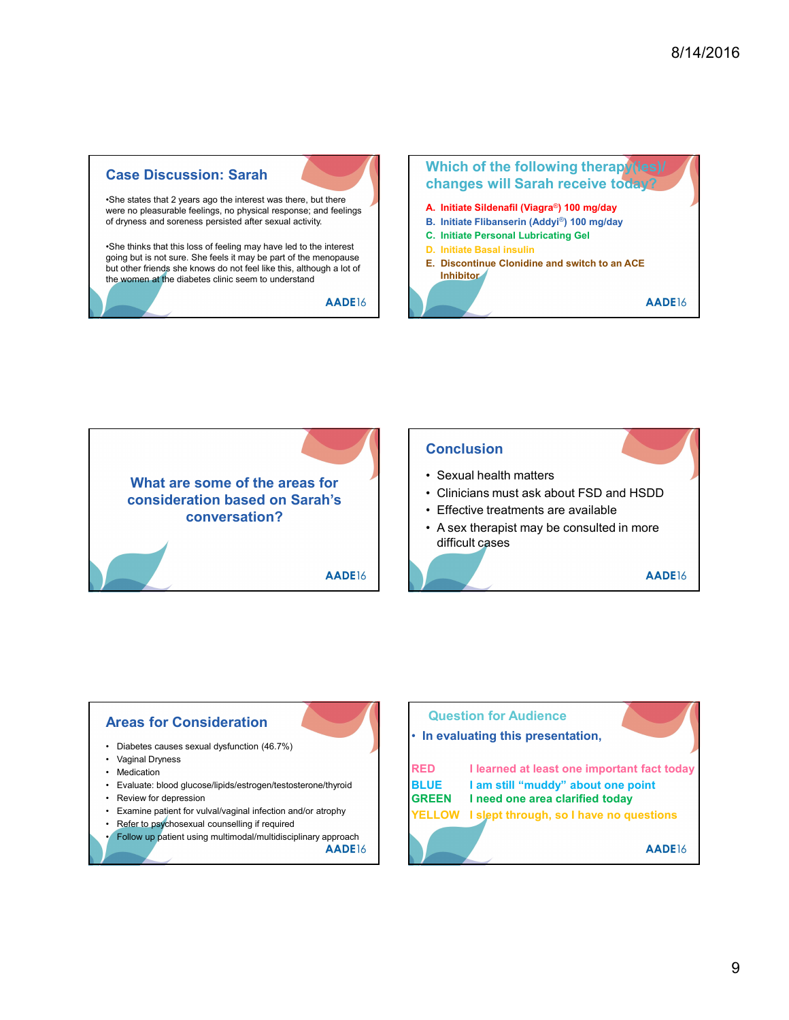